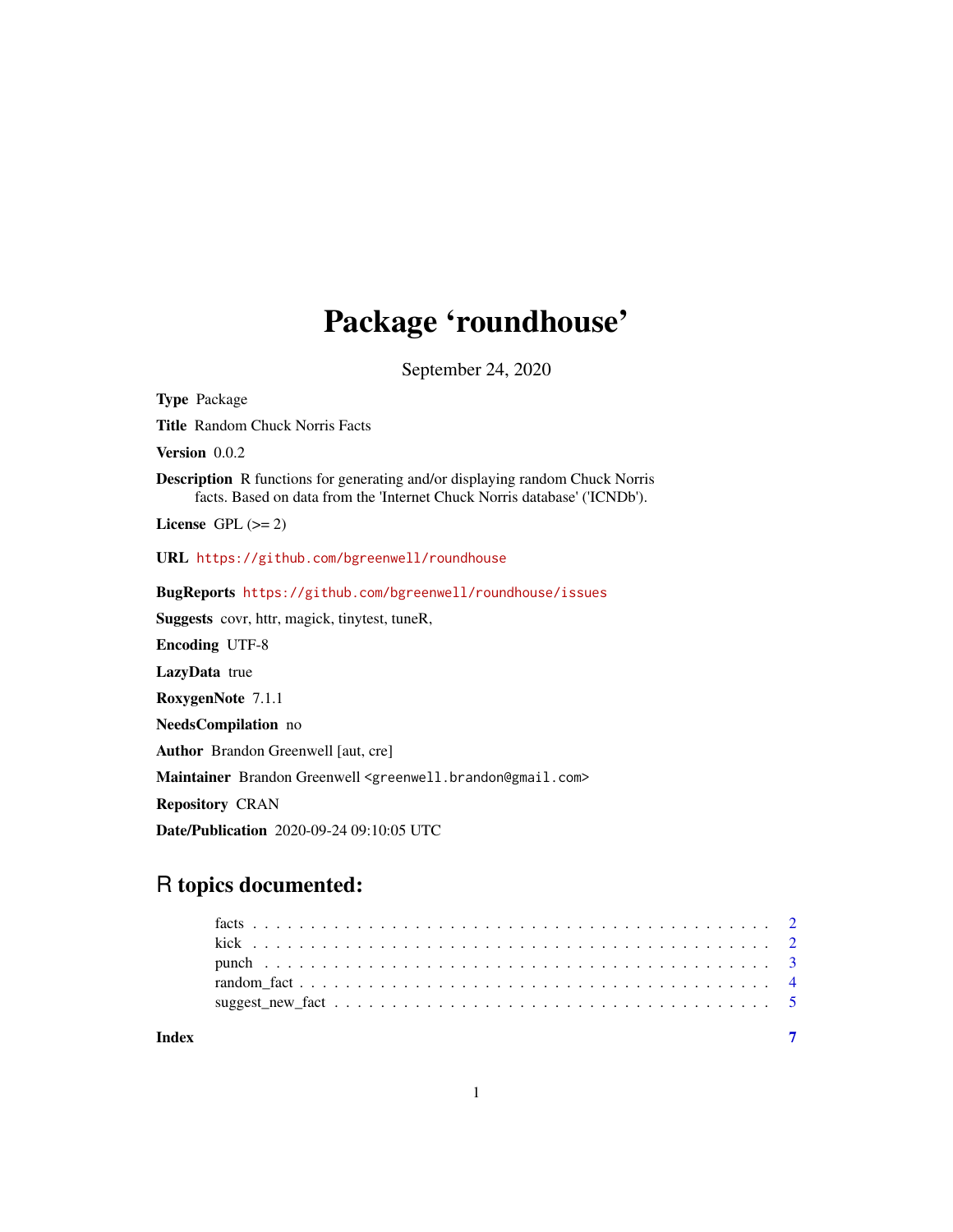# Package 'roundhouse'

September 24, 2020

<span id="page-0-0"></span>Type Package Title Random Chuck Norris Facts Version 0.0.2 Description R functions for generating and/or displaying random Chuck Norris facts. Based on data from the 'Internet Chuck Norris database' ('ICNDb'). License GPL  $(>= 2)$ URL <https://github.com/bgreenwell/roundhouse> BugReports <https://github.com/bgreenwell/roundhouse/issues> Suggests covr, httr, magick, tinytest, tuneR, Encoding UTF-8 LazyData true RoxygenNote 7.1.1 NeedsCompilation no Author Brandon Greenwell [aut, cre] Maintainer Brandon Greenwell <greenwell.brandon@gmail.com> Repository CRAN Date/Publication 2020-09-24 09:10:05 UTC

## R topics documented:

| Index |  |
|-------|--|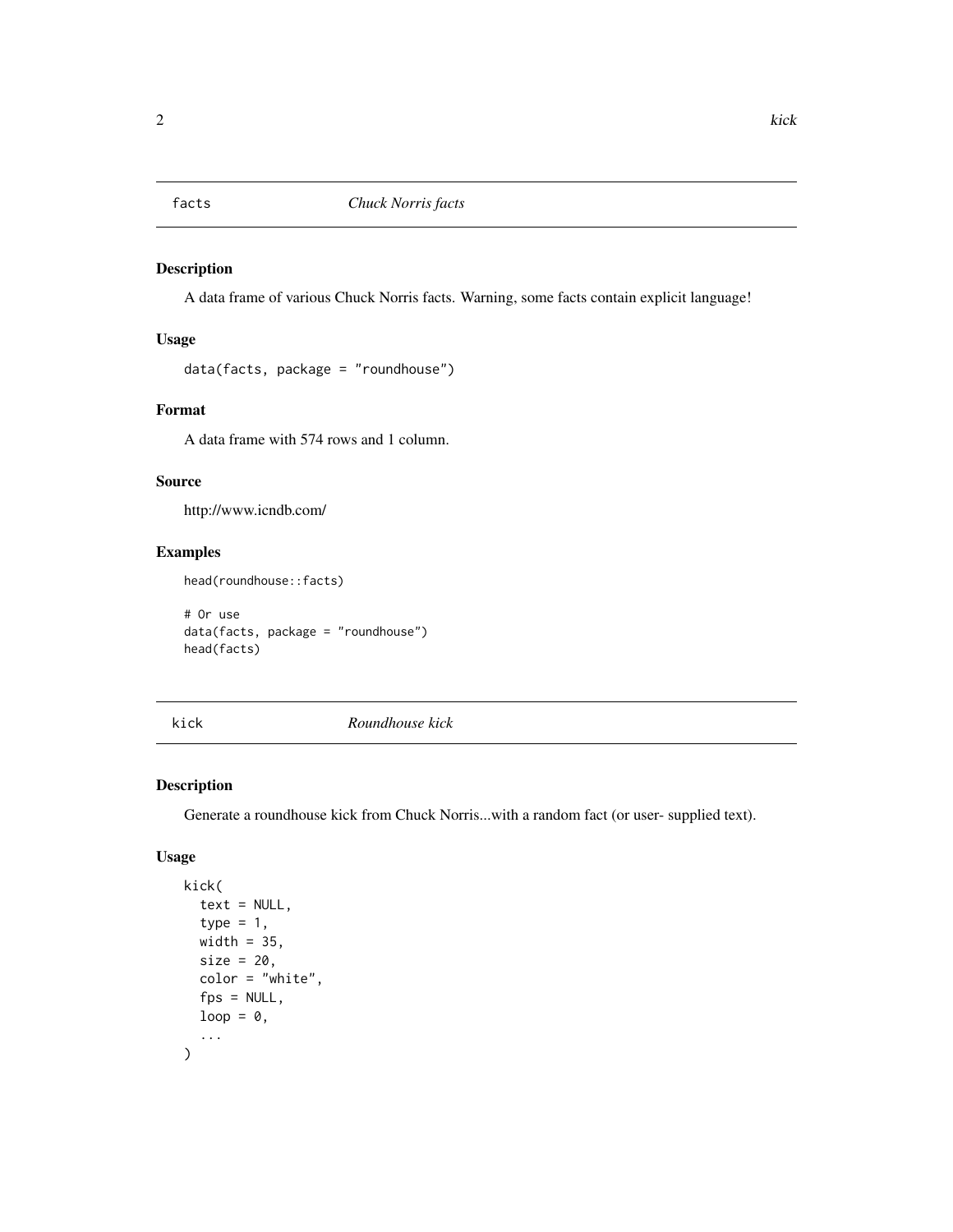<span id="page-1-0"></span>

#### Description

A data frame of various Chuck Norris facts. Warning, some facts contain explicit language!

#### Usage

data(facts, package = "roundhouse")

#### Format

A data frame with 574 rows and 1 column.

#### Source

http://www.icndb.com/

#### Examples

head(roundhouse::facts)

# Or use data(facts, package = "roundhouse") head(facts)

kick *Roundhouse kick*

#### Description

Generate a roundhouse kick from Chuck Norris...with a random fact (or user- supplied text).

#### Usage

```
kick(
  text = NULL,
  type = 1,
  width = 35,
  size = 20,
  color = "white",
  fps = NULL,loop = 0,...
\mathcal{E}
```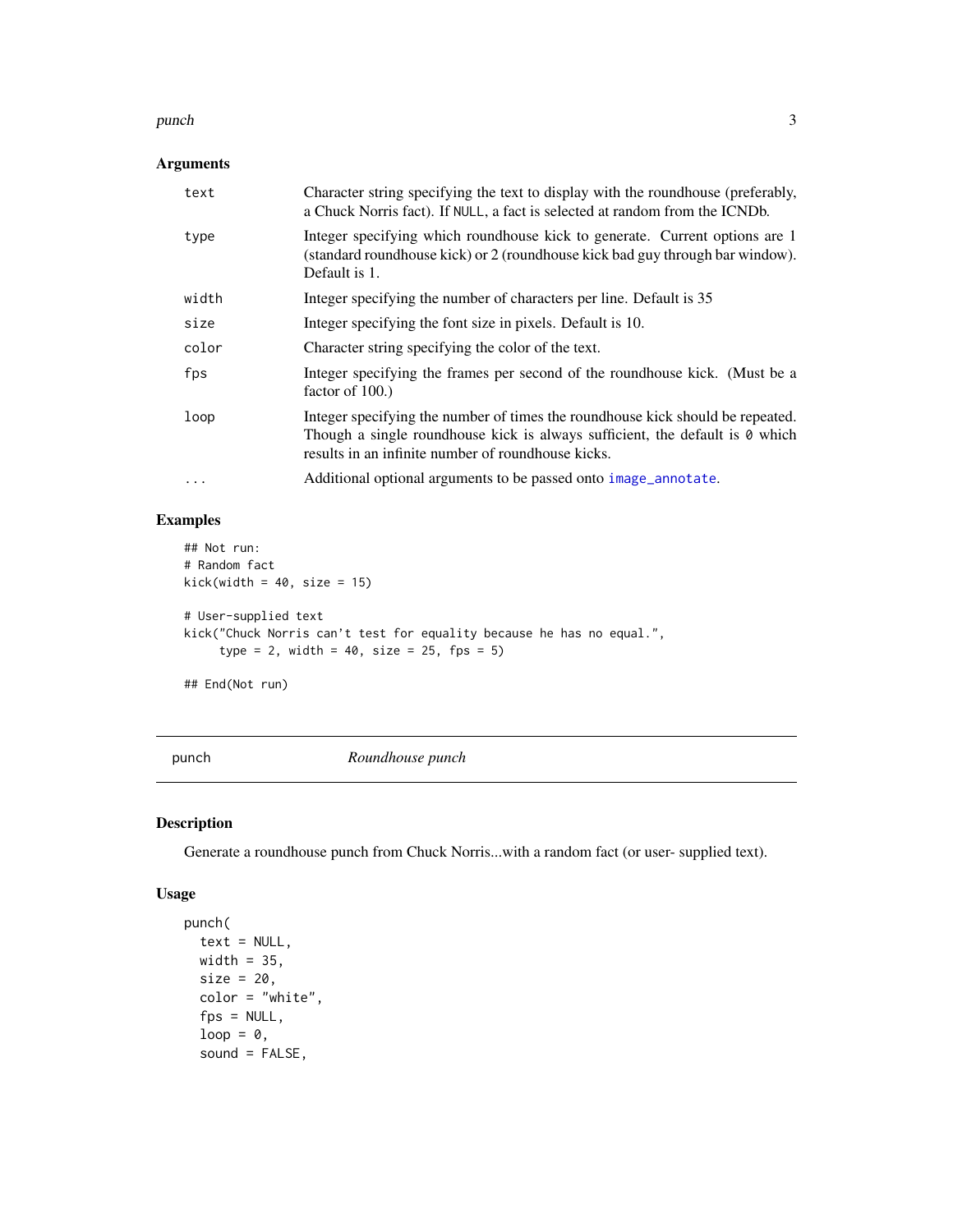#### <span id="page-2-0"></span>punch 3 and 3 and 3 and 3 and 3 and 3 and 3 and 3 and 3 and 3 and 3 and 3 and 3 and 3 and 3 and 3 and 3 and 3 and 3 and 3 and 3 and 3 and 3 and 3 and 3 and 3 and 3 and 3 and 3 and 3 and 3 and 3 and 3 and 3 and 3 and 3 and

#### Arguments

| text  | Character string specifying the text to display with the roundhouse (preferably,<br>a Chuck Norris fact). If NULL, a fact is selected at random from the ICNDb.                                                      |
|-------|----------------------------------------------------------------------------------------------------------------------------------------------------------------------------------------------------------------------|
| type  | Integer specifying which roundhouse kick to generate. Current options are 1<br>(standard roundhouse kick) or 2 (roundhouse kick bad guy through bar window).<br>Default is 1.                                        |
| width | Integer specifying the number of characters per line. Default is 35                                                                                                                                                  |
| size  | Integer specifying the font size in pixels. Default is 10.                                                                                                                                                           |
| color | Character string specifying the color of the text.                                                                                                                                                                   |
| fps   | Integer specifying the frames per second of the roundhouse kick. (Must be a<br>factor of $100$ .)                                                                                                                    |
| loop  | Integer specifying the number of times the roundhouse kick should be repeated.<br>Though a single roundhouse kick is always sufficient, the default is 0 which<br>results in an infinite number of roundhouse kicks. |
| .     | Additional optional arguments to be passed onto image_annotate.                                                                                                                                                      |

#### Examples

```
## Not run:
# Random fact
kick(width = 40, size = 15)# User-supplied text
kick("Chuck Norris can't test for equality because he has no equal.",
     type = 2, width = 40, size = 25, fps = 5)
```
## End(Not run)

punch *Roundhouse punch*

#### Description

Generate a roundhouse punch from Chuck Norris...with a random fact (or user- supplied text).

#### Usage

```
punch(
  text = NULL,width = 35,
 size = 20,color = "white",fps = NULL,
  loop = 0,sound = FALSE,
```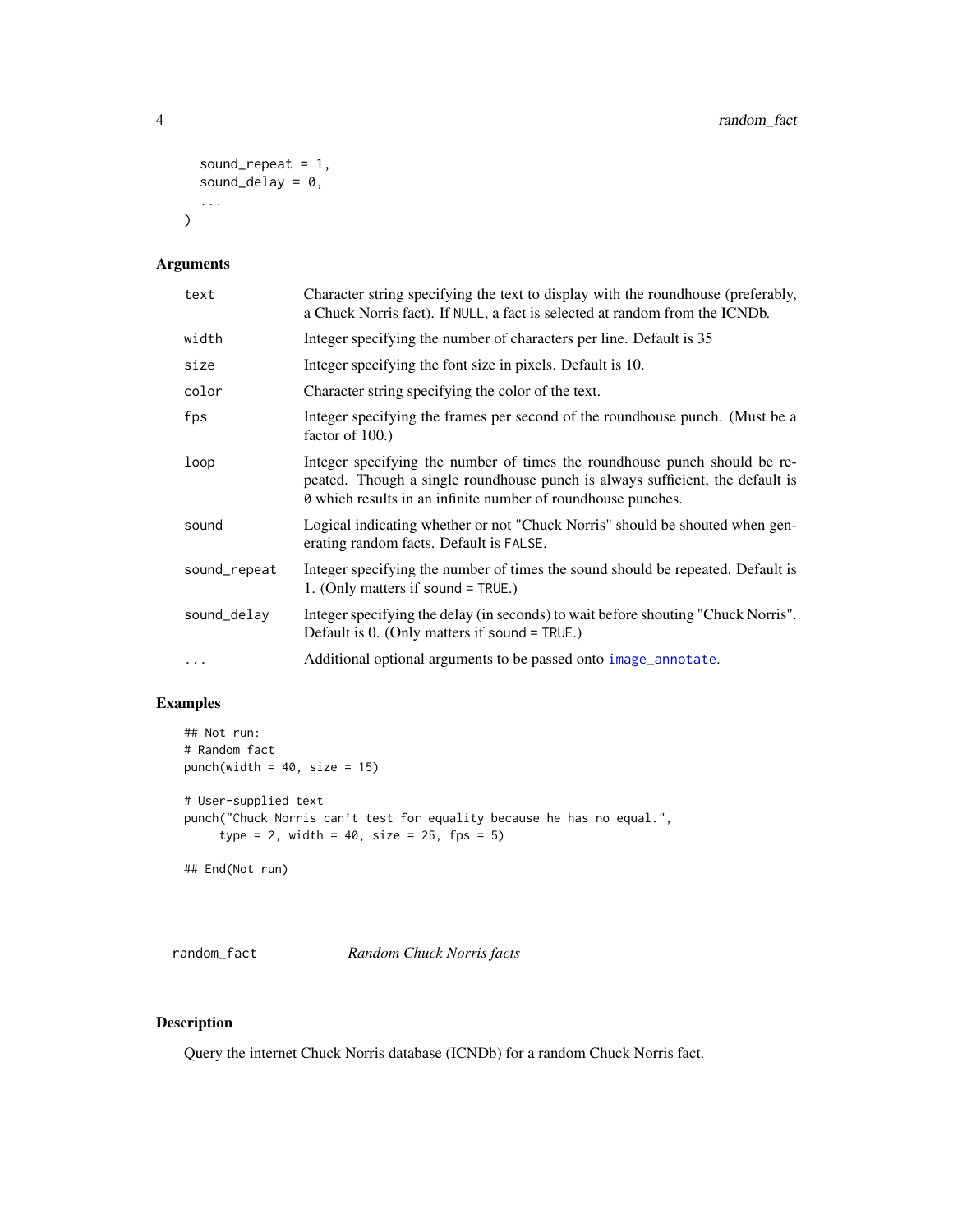```
sound_repeat = 1,
  sound_delay = 0,
  ...
\mathcal{L}
```
#### Arguments

| text         | Character string specifying the text to display with the roundhouse (preferably,<br>a Chuck Norris fact). If NULL, a fact is selected at random from the ICNDb.                                                            |
|--------------|----------------------------------------------------------------------------------------------------------------------------------------------------------------------------------------------------------------------------|
| width        | Integer specifying the number of characters per line. Default is 35                                                                                                                                                        |
| size         | Integer specifying the font size in pixels. Default is 10.                                                                                                                                                                 |
| color        | Character string specifying the color of the text.                                                                                                                                                                         |
| fps          | Integer specifying the frames per second of the roundhouse punch. (Must be a<br>factor of 100.)                                                                                                                            |
| loop         | Integer specifying the number of times the roundhouse punch should be re-<br>peated. Though a single roundhouse punch is always sufficient, the default is<br>0 which results in an infinite number of roundhouse punches. |
| sound        | Logical indicating whether or not "Chuck Norris" should be shouted when gen-<br>erating random facts. Default is FALSE.                                                                                                    |
| sound_repeat | Integer specifying the number of times the sound should be repeated. Default is<br>1. (Only matters if sound $=$ TRUE.)                                                                                                    |
| sound_delay  | Integer specifying the delay (in seconds) to wait before shouting "Chuck Norris".<br>Default is $0.$ (Only matters if sound = TRUE.)                                                                                       |
| $\cdots$     | Additional optional arguments to be passed onto image_annotate.                                                                                                                                                            |

#### Examples

```
## Not run:
# Random fact
punch(width = 40, size = 15)# User-supplied text
punch("Chuck Norris can't test for equality because he has no equal.",
     type = 2, width = 40, size = 25, fps = 5)## End(Not run)
```
random\_fact *Random Chuck Norris facts*

#### Description

Query the internet Chuck Norris database (ICNDb) for a random Chuck Norris fact.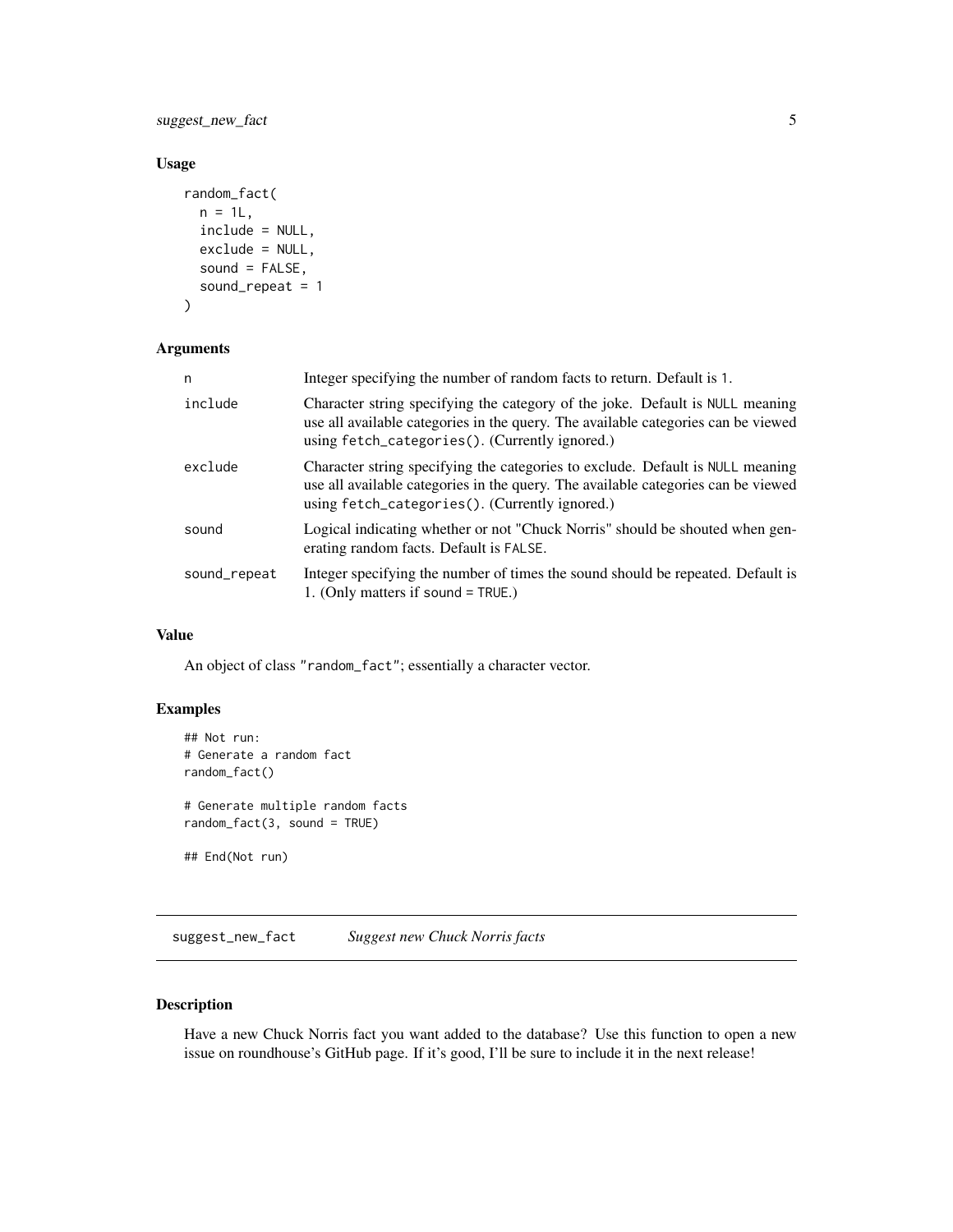<span id="page-4-0"></span>suggest\_new\_fact 5

#### Usage

```
random_fact(
 n = 1L,
  include = NULL,
 exclude = NULL,
 sound = FALSE,sound_repeat = 1
)
```
#### Arguments

| n            | Integer specifying the number of random facts to return. Default is 1.                                                                                                                                                |
|--------------|-----------------------------------------------------------------------------------------------------------------------------------------------------------------------------------------------------------------------|
| include      | Character string specifying the category of the joke. Default is NULL meaning<br>use all available categories in the query. The available categories can be viewed<br>using fetch_categories(). (Currently ignored.)  |
| exclude      | Character string specifying the categories to exclude. Default is NULL meaning<br>use all available categories in the query. The available categories can be viewed<br>using fetch_categories(). (Currently ignored.) |
| sound        | Logical indicating whether or not "Chuck Norris" should be shouted when gen-<br>erating random facts. Default is FALSE.                                                                                               |
| sound_repeat | Integer specifying the number of times the sound should be repeated. Default is<br>1. (Only matters if sound $=$ TRUE.)                                                                                               |

#### Value

An object of class "random\_fact"; essentially a character vector.

#### Examples

```
## Not run:
# Generate a random fact
random_fact()
# Generate multiple random facts
random_fact(3, sound = TRUE)
## End(Not run)
```
suggest\_new\_fact *Suggest new Chuck Norris facts*

#### Description

Have a new Chuck Norris fact you want added to the database? Use this function to open a new issue on roundhouse's GitHub page. If it's good, I'll be sure to include it in the next release!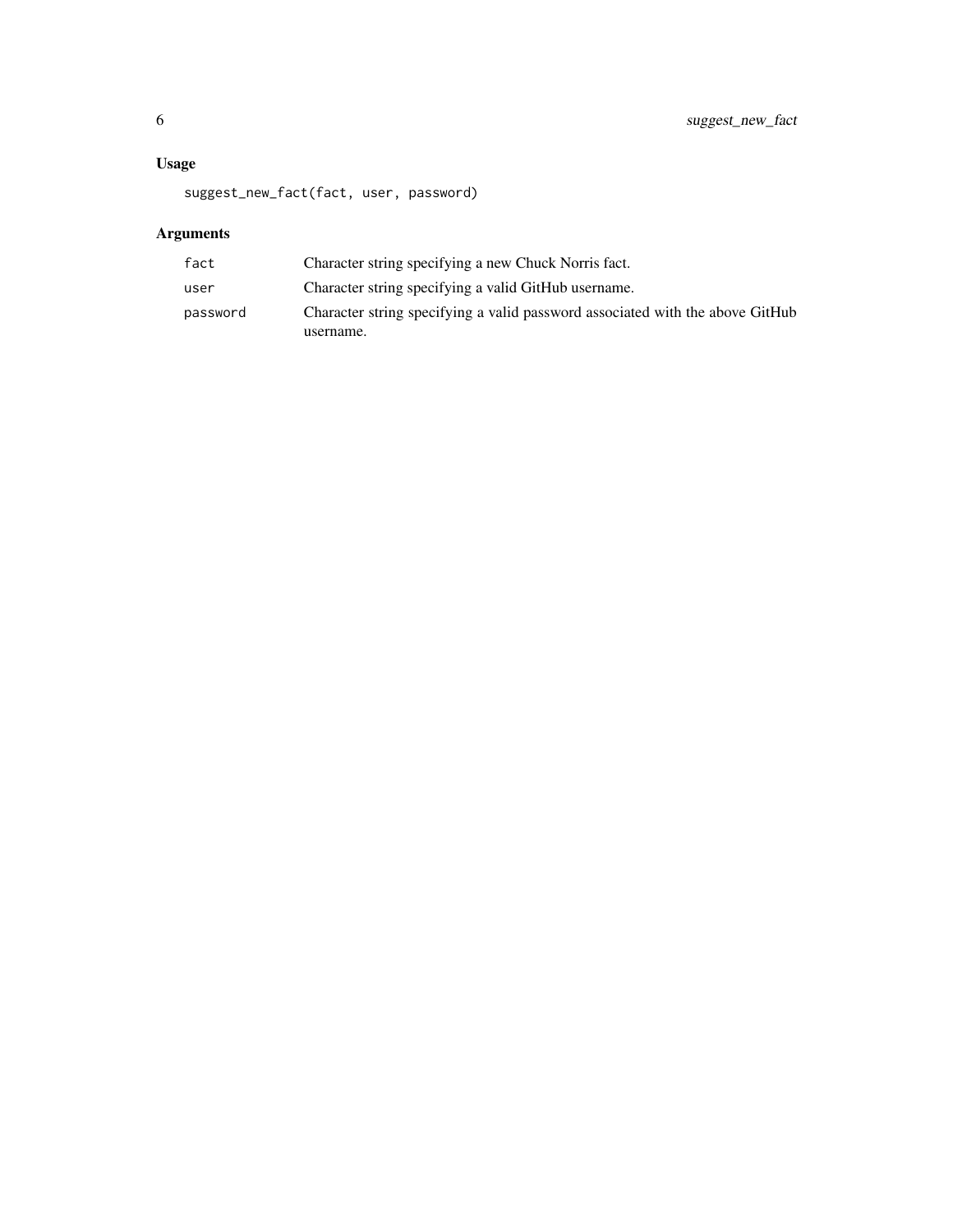#### Usage

suggest\_new\_fact(fact, user, password)

### Arguments

| fact     | Character string specifying a new Chuck Norris fact.                          |
|----------|-------------------------------------------------------------------------------|
| user     | Character string specifying a valid GitHub username.                          |
| password | Character string specifying a valid password associated with the above GitHub |
|          | username.                                                                     |